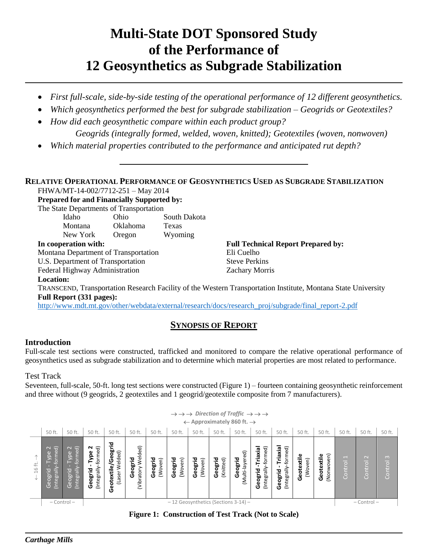# **Multi-State DOT Sponsored Study of the Performance of 12 Geosynthetics as Subgrade Stabilization**

- *First full-scale, side-by-side testing of the operational performance of 12 different geosynthetics.*
- *Which geosynthetics performed the best for subgrade stabilization – Geogrids or Geotextiles?*
- *How did each geosynthetic compare within each product group? Geogrids (integrally formed, welded, woven, knitted); Geotextiles (woven, nonwoven)*
- *Which material properties contributed to the performance and anticipated rut depth?*

### **RELATIVE OPERATIONAL PERFORMANCE OF GEOSYNTHETICS USED AS SUBGRADE STABILIZATION**

FHWA/MT-14-002/7712-251 – May 2014

**Prepared for and Financially Supported by:**

The State Departments of Transportation

| In cooperation with: |          |              | <b>Full Technical Report Prepared by:</b> |
|----------------------|----------|--------------|-------------------------------------------|
| New York             | Oregon   | Wyoming      |                                           |
| <b>Montana</b>       | Oklahoma | Texas        |                                           |
| Idaho                | Ohio     | South Dakota |                                           |
|                      |          |              |                                           |

Montana Department of Transportation Eli Cuelho

U.S. Department of Transportation Steve Perkins Federal Highway Administration **Zachary Morris** 

**Location:**

TRANSCEND, Transportation Research Facility of the Western Transportation Institute, Montana State University **Full Report (331 pages):**

[http://www.mdt.mt.gov/other/webdata/external/research/docs/research\\_proj/subgrade/final\\_report-2.pdf](http://www.mdt.mt.gov/other/webdata/external/research/docs/research_proj/subgrade/final_report-2.pdf)

# **SYNOPSIS OF REPORT**

## **Introduction**

Full-scale test sections were constructed, trafficked and monitored to compare the relative operational performance of geosynthetics used as subgrade stabilization and to determine which material properties are most related to performance.

Test Track

Seventeen, full-scale, 50-ft. long test sections were constructed (Figure 1) – fourteen containing geosynthetic reinforcement and three without (9 geogrids, 2 geotextiles and 1 geogrid/geotextile composite from 7 manufacturers).

|                | $\rightarrow$ $\rightarrow$ $\rightarrow$ Direction of Traffic $\rightarrow$ $\rightarrow$ $\rightarrow$<br>$\leftarrow$ Approximately 860 ft. $\rightarrow$ |                                                                      |                                         |                                                    |                                  |                    |                    |                    |                      |                            |                                                 |                                               |                       |                          |                                     |                   |                     |
|----------------|--------------------------------------------------------------------------------------------------------------------------------------------------------------|----------------------------------------------------------------------|-----------------------------------------|----------------------------------------------------|----------------------------------|--------------------|--------------------|--------------------|----------------------|----------------------------|-------------------------------------------------|-----------------------------------------------|-----------------------|--------------------------|-------------------------------------|-------------------|---------------------|
|                | 50 ft.                                                                                                                                                       | 50 ft.                                                               | 50 ft.                                  | 50 ft.                                             | 50 ft.                           | 50 ft.             | 50 ft.             | 50 ft.             | 50 ft.               | 50 ft.                     | 50 ft.                                          | 50 ft.                                        | 50 ft.                | 50 ft.                   | 50 ft.                              | 50 ft.            | 50 ft.              |
| ≓<br>$\approx$ | $\sim$ $\frac{1}{\sigma}$<br>forme<br><b>Pe</b><br>Geogrid<br>(Integrall)                                                                                    | $\sim$ $\widehat{\sigma}$<br>Type<br>former<br>(Integrall<br>Geogrid | Geogrid - Type 2<br>(Integrally-formed) | 곧<br>/Geogl<br>Welded)<br>otextile<br>(Laser<br>မိ | Welded)<br>Geogrid<br>(Vibratory | Geogrid<br>(Woven) | Geogrid<br>(Woven) | Geogrid<br>(Woven) | Geogrid<br>(Knitted) | (Multi-layered)<br>Geogrid | -Triaxial<br>-formed)<br>(Integrally<br>Geogrid | Triaxial<br>formed)<br>(Integrally<br>Geogrid | Geotextile<br>(Woven) | (Nonwoven)<br>Geotextile | $\overline{\phantom{0}}$<br>Control | $\sim$<br>Control | $\infty$<br>Control |
|                | - 12 Geosynthetics (Sections 3-14) -<br>$-$ Control $-$                                                                                                      |                                                                      |                                         |                                                    |                                  |                    |                    |                    | $-$ Control $-$      |                            |                                                 |                                               |                       |                          |                                     |                   |                     |
|                |                                                                                                                                                              |                                                                      |                                         |                                                    |                                  |                    |                    |                    |                      |                            |                                                 |                                               |                       |                          |                                     |                   |                     |

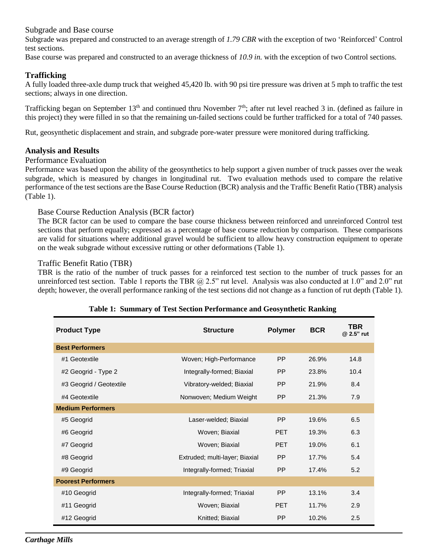Subgrade and Base course

Subgrade was prepared and constructed to an average strength of *1.79 CBR* with the exception of two 'Reinforced' Control test sections.

Base course was prepared and constructed to an average thickness of *10.9 in.* with the exception of two Control sections.

#### **Trafficking**

A fully loaded three-axle dump truck that weighed 45,420 lb. with 90 psi tire pressure was driven at 5 mph to traffic the test sections; always in one direction.

Trafficking began on September 13<sup>th</sup> and continued thru November 7<sup>th</sup>; after rut level reached 3 in. (defined as failure in this project) they were filled in so that the remaining un-failed sections could be further trafficked for a total of 740 passes.

Rut, geosynthetic displacement and strain, and subgrade pore-water pressure were monitored during trafficking.

#### **Analysis and Results**

#### Performance Evaluation

Performance was based upon the ability of the geosynthetics to help support a given number of truck passes over the weak subgrade, which is measured by changes in longitudinal rut. Two evaluation methods used to compare the relative performance of the test sections are the Base Course Reduction (BCR) analysis and the Traffic Benefit Ratio (TBR) analysis (Table 1).

#### Base Course Reduction Analysis (BCR factor)

The BCR factor can be used to compare the base course thickness between reinforced and unreinforced Control test sections that perform equally; expressed as a percentage of base course reduction by comparison. These comparisons are valid for situations where additional gravel would be sufficient to allow heavy construction equipment to operate on the weak subgrade without excessive rutting or other deformations (Table 1).

#### Traffic Benefit Ratio (TBR)

TBR is the ratio of the number of truck passes for a reinforced test section to the number of truck passes for an unreinforced test section. Table 1 reports the TBR  $\omega$  2.5" rut level. Analysis was also conducted at 1.0" and 2.0" rut depth; however, the overall performance ranking of the test sections did not change as a function of rut depth (Table 1).

| <b>Product Type</b>       | <b>Structure</b>               | <b>Polymer</b> | <b>BCR</b> | TBR<br>@ 2.5" rut |
|---------------------------|--------------------------------|----------------|------------|-------------------|
| <b>Best Performers</b>    |                                |                |            |                   |
| #1 Geotextile             | Woven; High-Performance        | <b>PP</b>      | 26.9%      | 14.8              |
| #2 Geogrid - Type 2       | Integrally-formed; Biaxial     | <b>PP</b>      | 23.8%      | 10.4              |
| #3 Geogrid / Geotextile   | Vibratory-welded; Biaxial      | <b>PP</b>      | 21.9%      | 8.4               |
| #4 Geotextile             | Nonwoven; Medium Weight        | <b>PP</b>      | 21.3%      | 7.9               |
| <b>Medium Performers</b>  |                                |                |            |                   |
| #5 Geogrid                | Laser-welded; Biaxial          | <b>PP</b>      | 19.6%      | 6.5               |
| #6 Geogrid                | Woven; Biaxial                 | <b>PET</b>     | 19.3%      | 6.3               |
| #7 Geogrid                | Woven; Biaxial                 | <b>PET</b>     | 19.0%      | 6.1               |
| #8 Geogrid                | Extruded; multi-layer; Biaxial | <b>PP</b>      | 17.7%      | 5.4               |
| #9 Geogrid                | Integrally-formed; Triaxial    | <b>PP</b>      | 17.4%      | 5.2               |
| <b>Poorest Performers</b> |                                |                |            |                   |
| #10 Geogrid               | Integrally-formed; Triaxial    | <b>PP</b>      | 13.1%      | 3.4               |
| #11 Geogrid               | Woven; Biaxial                 | <b>PET</b>     | 11.7%      | 2.9               |
| #12 Geogrid               | Knitted; Biaxial               | <b>PP</b>      | 10.2%      | 2.5               |

#### **Table 1: Summary of Test Section Performance and Geosynthetic Ranking**